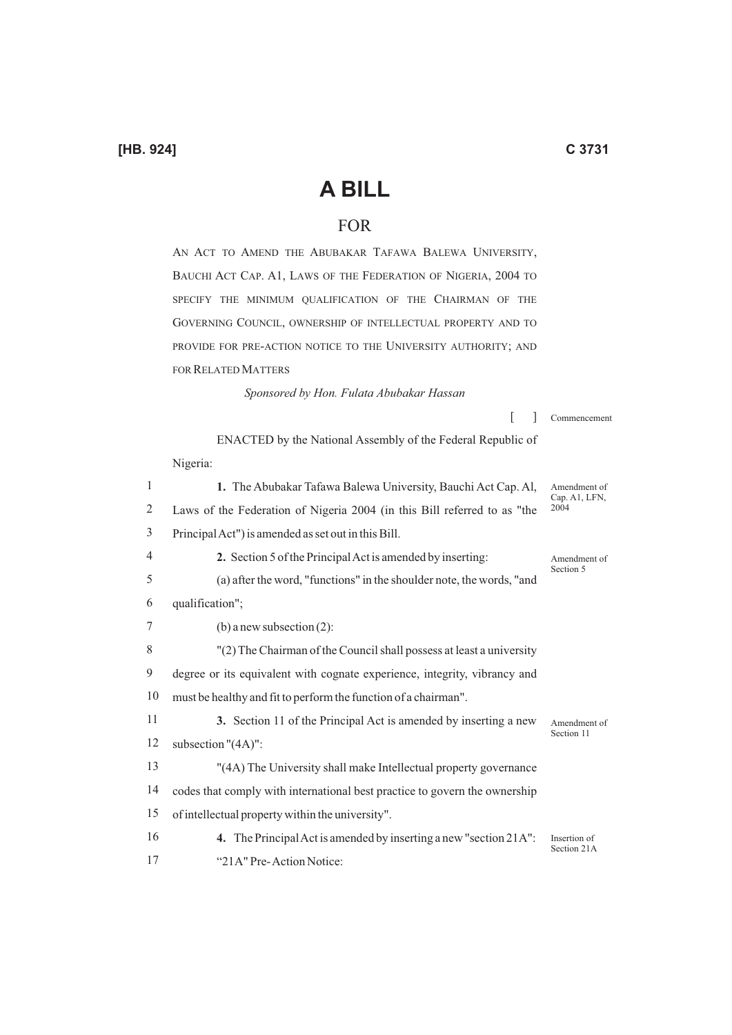## **A BILL**

## FOR

AN ACT TO AMEND THE ABUBAKAR TAFAWA BALEWA UNIVERSITY, BAUCHI ACT CAP. A1, LAWS OF THE FEDERATION OF NIGERIA, 2004 TO SPECIFY THE MINIMUM QUALIFICATION OF THE CHAIRMAN OF THE GOVERNING COUNCIL, OWNERSHIP OF INTELLECTUAL PROPERTY AND TO PROVIDE FOR PRE-ACTION NOTICE TO THE UNIVERSITY AUTHORITY; AND FOR RELATED MATTERS

*Sponsored by Hon. Fulata Abubakar Hassan* 

1 2 3 4 5 6 7 8 9 10 11 12 13 14 15 16 17  $\lceil$   $\rceil$ ENACTED by the National Assembly of the Federal Republic of Nigeria: **1.** The Abubakar Tafawa Balewa University, Bauchi Act Cap. Al, Laws of the Federation of Nigeria 2004 (in this Bill referred to as "the Principal Act") is amended as set out in this Bill. **2.** Section 5 of the Principal Act is amended by inserting: (a) after the word, "functions" in the shoulder note, the words, "and qualification"; (b) a new subsection (2): "(2) The Chairman of the Council shall possess at least a university degree or its equivalent with cognate experience, integrity, vibrancy and must be healthy and fit to perform the function of a chairman". **3.** Section 11 of the Principal Act is amended by inserting a new subsection "(4A)": "(4A) The University shall make Intellectual property governance codes that comply with international best practice to govern the ownership of intellectual property within the university". **4.** The Principal Act is amended by inserting a new "section 21A": "21A" Pre- Action Notice: Amendment of Cap. A<sub>1</sub>, LFN. 2004 Amendment of Section 5 Amendment of Section 11 Insertion of Section 21A

Commencement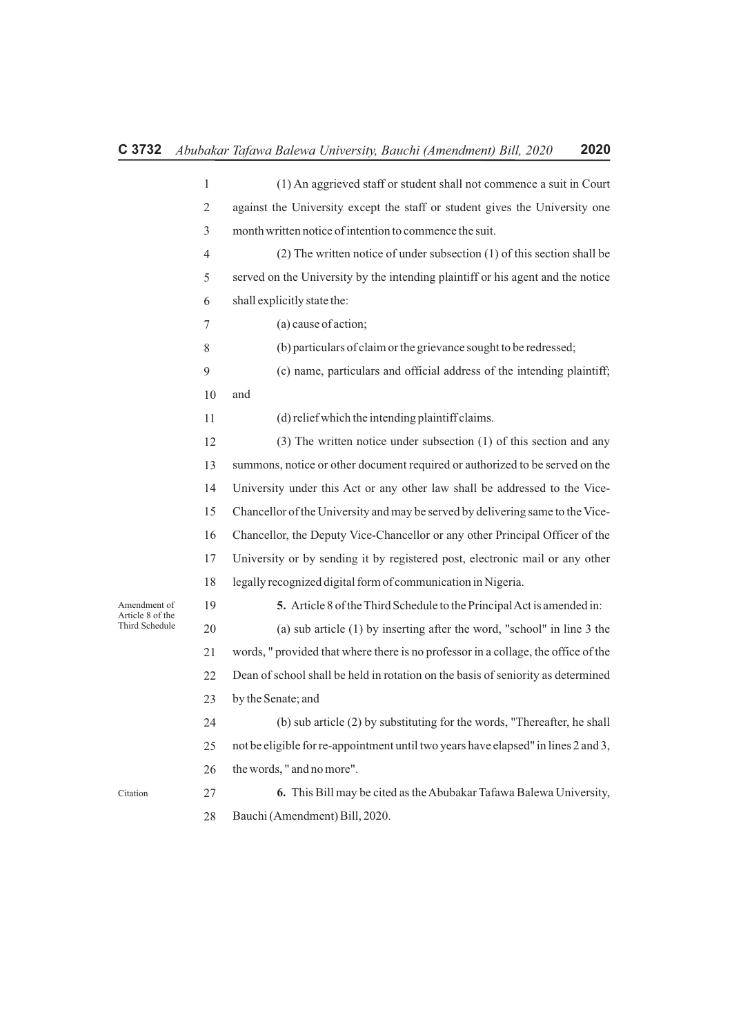|                                                    | $\mathbf{1}$   | (1) An aggrieved staff or student shall not commence a suit in Court               |
|----------------------------------------------------|----------------|------------------------------------------------------------------------------------|
|                                                    | 2              | against the University except the staff or student gives the University one        |
|                                                    | 3              | month written notice of intention to commence the suit.                            |
|                                                    | $\overline{4}$ | $(2)$ The written notice of under subsection $(1)$ of this section shall be        |
|                                                    | 5              | served on the University by the intending plaintiff or his agent and the notice    |
|                                                    | 6              | shall explicitly state the:                                                        |
|                                                    | 7              | (a) cause of action;                                                               |
|                                                    | 8              | (b) particulars of claim or the grievance sought to be redressed;                  |
|                                                    | 9              | (c) name, particulars and official address of the intending plaintiff;             |
|                                                    | 10             | and                                                                                |
|                                                    | 11             | (d) relief which the intending plaintiff claims.                                   |
|                                                    | 12             | $(3)$ The written notice under subsection $(1)$ of this section and any            |
|                                                    | 13             | summons, notice or other document required or authorized to be served on the       |
|                                                    | 14             | University under this Act or any other law shall be addressed to the Vice-         |
|                                                    | 15             | Chancellor of the University and may be served by delivering same to the Vice-     |
|                                                    | 16             | Chancellor, the Deputy Vice-Chancellor or any other Principal Officer of the       |
|                                                    | 17             | University or by sending it by registered post, electronic mail or any other       |
|                                                    | 18             | legally recognized digital form of communication in Nigeria.                       |
| Amendment of<br>Article 8 of the<br>Third Schedule | 19             | 5. Article 8 of the Third Schedule to the Principal Act is amended in:             |
|                                                    | 20             | (a) sub article $(1)$ by inserting after the word, "school" in line 3 the          |
|                                                    | 21             | words, " provided that where there is no professor in a collage, the office of the |
|                                                    | 22             | Dean of school shall be held in rotation on the basis of seniority as determined   |
|                                                    | 23             | by the Senate; and                                                                 |
|                                                    | 24             | (b) sub article (2) by substituting for the words, "Thereafter, he shall           |
|                                                    | 25             | not be eligible for re-appointment until two years have elapsed" in lines 2 and 3, |
|                                                    | 26             | the words, " and no more".                                                         |
| Citation                                           | 27             | 6. This Bill may be cited as the Abubakar Tafawa Balewa University,                |
|                                                    | 28             | Bauchi (Amendment) Bill, 2020.                                                     |

Citation